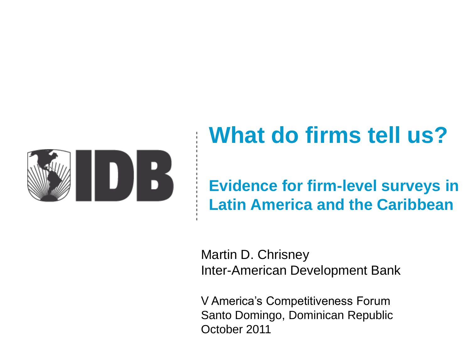

# **What do firms tell us?**

### **Evidence for firm-level surveys in Latin America and the Caribbean**

Martin D. Chrisney Inter-American Development Bank

V America's Competitiveness Forum Santo Domingo, Dominican Republic October 2011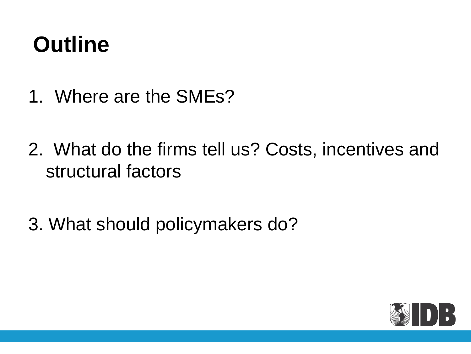## **Outline**

- 1. Where are the SMEs?
- 2. What do the firms tell us? Costs, incentives and structural factors
- 3. What should policymakers do?

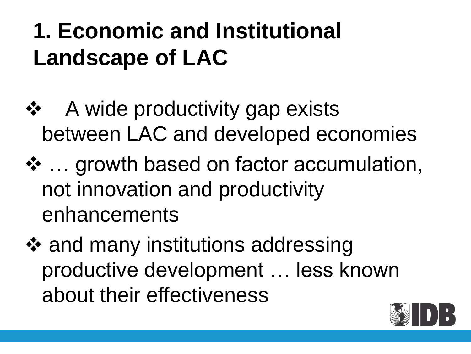# **1. Economic and Institutional Landscape of LAC**

- ❖ A wide productivity gap exists between LAC and developed economies
- ❖ ... growth based on factor accumulation, not innovation and productivity enhancements
- ❖ and many institutions addressing productive development … less known about their effectiveness

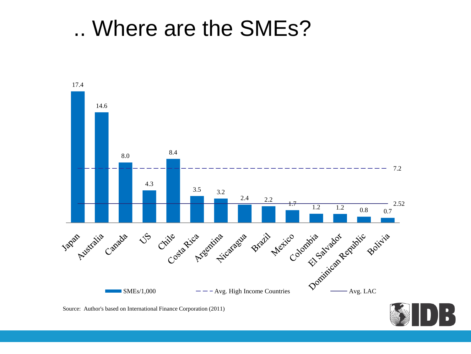.. Where are the SMEs?



Source: Author's based on International Finance Corporation (2011)

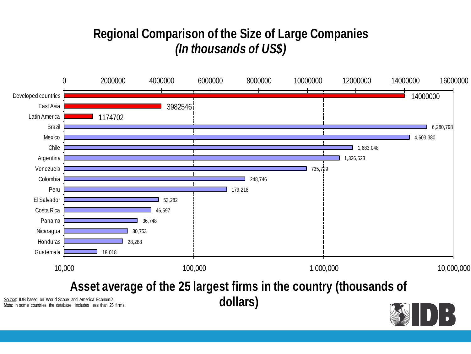#### **Regional Comparison of the Size of Large Companies** *(In thousands of US\$)*

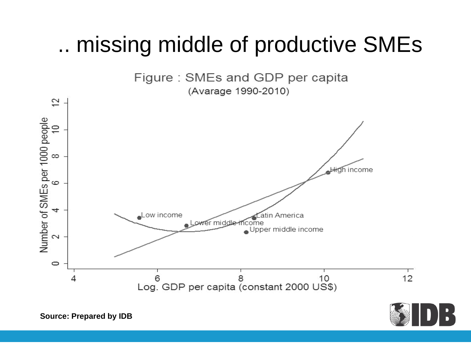### .. missing middle of productive SMEs





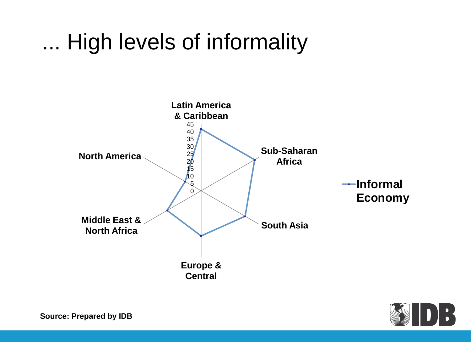## ... High levels of informality



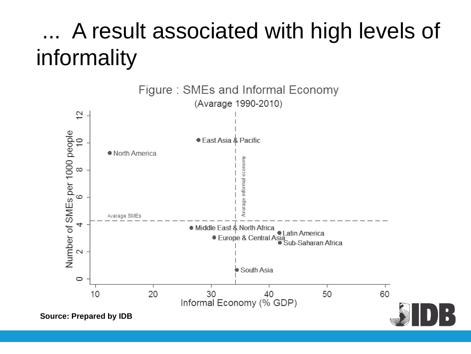## A result associated with high levels of informality

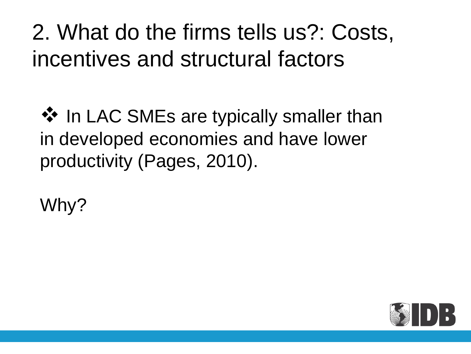## 2. What do the firms tells us?: Costs, incentives and structural factors

 $\lozenge$  In LAC SMEs are typically smaller than in developed economies and have lower productivity (Pages, 2010).

Why?

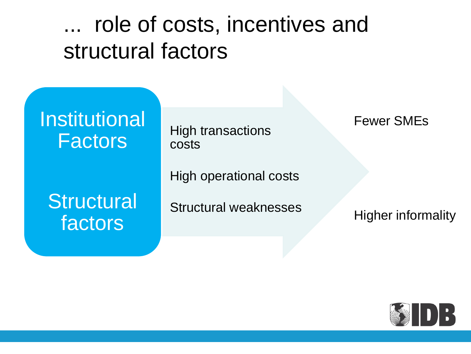## ... role of costs, incentives and structural factors



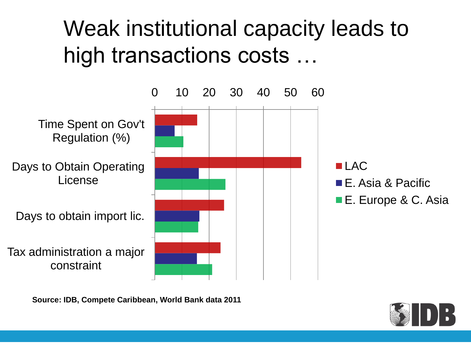## Weak institutional capacity leads to high transactions costs …



**Source: IDB, Compete Caribbean, World Bank data 2011**

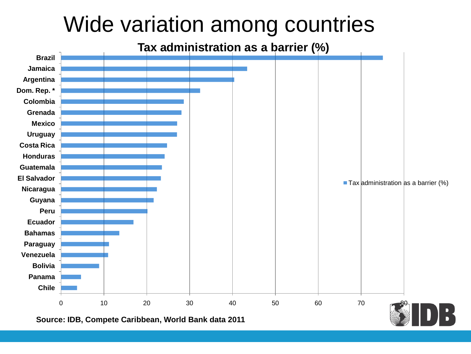## Wide variation among countries

#### **Tax administration as a barrier (%)**

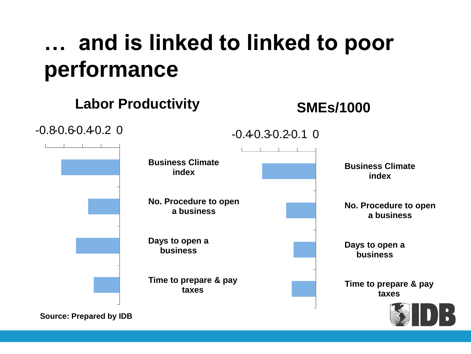## **… and is linked to linked to poor performance**

#### **Labor Productivity**

#### **SMEs/1000**

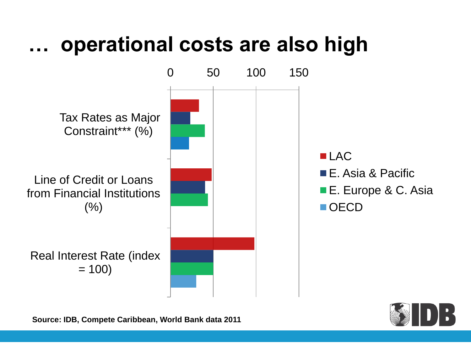### **… operational costs are also high**



**Source: IDB, Compete Caribbean, World Bank data 2011**

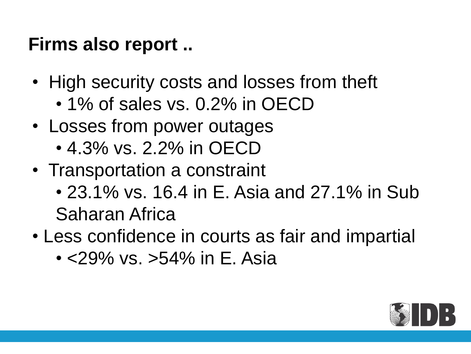### **Firms also report ..**

- High security costs and losses from theft
	- 1% of sales vs. 0.2% in OECD
- Losses from power outages
	- 4.3% vs. 2.2% in OECD
- Transportation a constraint
	- 23.1% vs. 16.4 in E. Asia and 27.1% in Sub Saharan Africa
- Less confidence in courts as fair and impartial
	- <29% vs. >54% in E. Asia

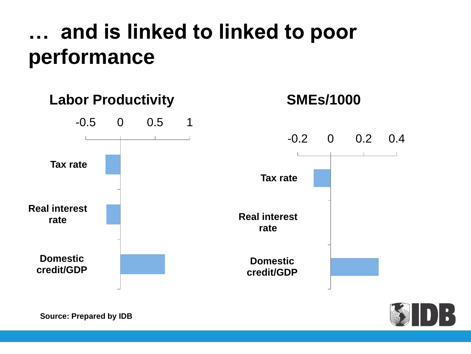## **… and is linked to linked to poor performance**



**Source: Prepared by IDB**

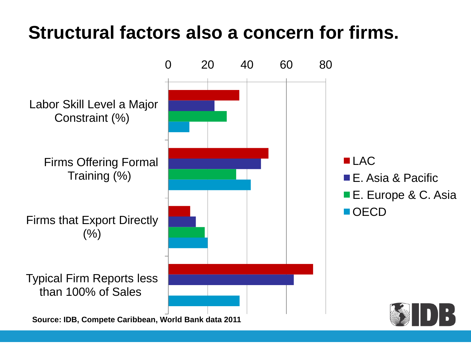### **Structural factors also a concern for firms.**

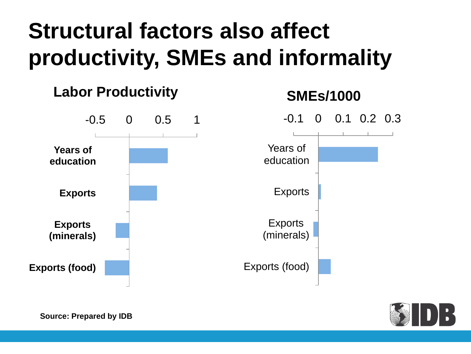# **Structural factors also affect productivity, SMEs and informality**





**Source: Prepared by IDB**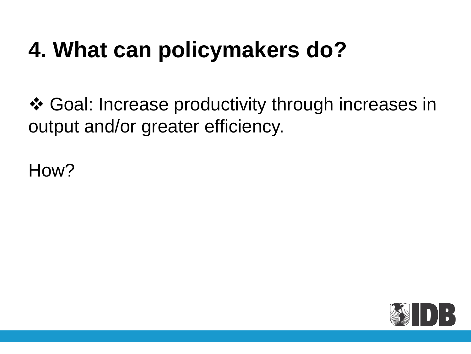## **4. What can policymakers do?**

 Goal: Increase productivity through increases in output and/or greater efficiency.

How?

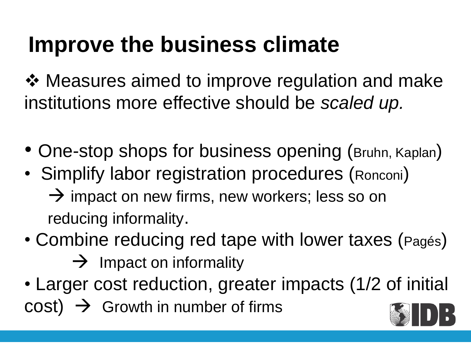# **Improve the business climate**

**❖ Measures aimed to improve regulation and make** institutions more effective should be *scaled up.*

- One-stop shops for business opening (Bruhn, Kaplan)
- Simplify labor registration procedures (Ronconi)  $\rightarrow$  impact on new firms, new workers; less so on reducing informality.
- Combine reducing red tape with lower taxes (Pagés)  $\rightarrow$  Impact on informality
- Larger cost reduction, greater impacts (1/2 of initial  $cost) \rightarrow$  Growth in number of firms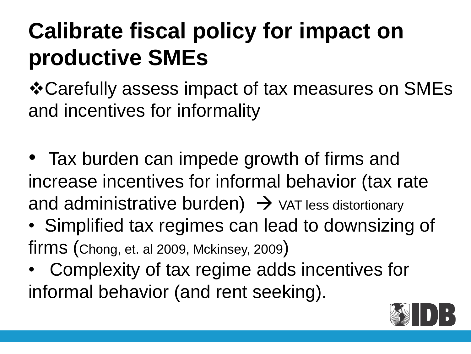# **Calibrate fiscal policy for impact on productive SMEs**

Carefully assess impact of tax measures on SMEs and incentives for informality

- Tax burden can impede growth of firms and increase incentives for informal behavior (tax rate and administrative burden)  $\rightarrow$  var less distortionary
- Simplified tax regimes can lead to downsizing of firms (Chong, et. al 2009, Mckinsey, 2009)
- Complexity of tax regime adds incentives for informal behavior (and rent seeking).

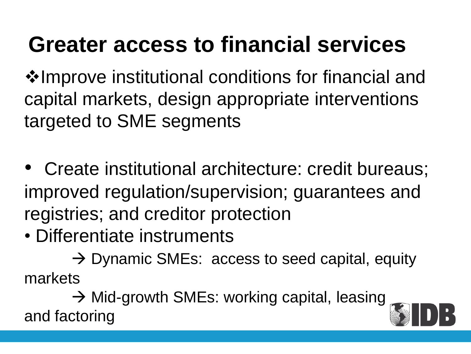# **Greater access to financial services**

**\*Improve institutional conditions for financial and** capital markets, design appropriate interventions targeted to SME segments

- Create institutional architecture: credit bureaus; improved regulation/supervision; guarantees and registries; and creditor protection
- Differentiate instruments

 $\rightarrow$  Dynamic SMEs: access to seed capital, equity markets

→ Mid-growth SMEs: working capital, leasing and factoring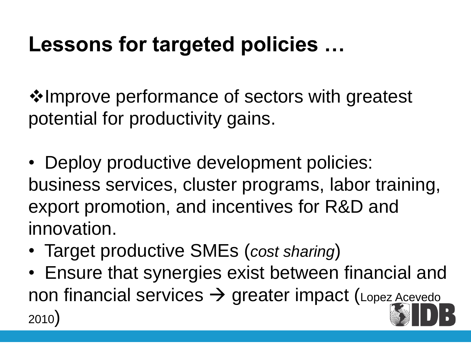## **Lessons for targeted policies …**

**Verthelm** with greatest **\*** Improve performance of sectors with greatest potential for productivity gains.

• Deploy productive development policies: business services, cluster programs, labor training, export promotion, and incentives for R&D and innovation.

- Target productive SMEs (*cost sharing*)
- Ensure that synergies exist between financial and non financial services  $\rightarrow$  greater impact (Lopez Acevedo 2010)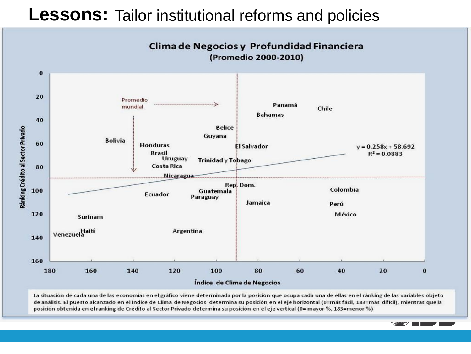#### **Lessons:** Tailor institutional reforms and policies



La situación de cada una de las economías en el gráfico viene determinada por la posición que ocupa cada una de ellas en el ránking de las variables objeto de análisis. El puesto alcanzado en el Índice de Clima de Negocios determina su posición en el eje horizontal (0=más fácil, 183=más difícil), mientras que la posición obtenida en el ranking de Crédito al Sector Privado determina su posición en el eje vertical (0= mayor %, 183=menor %)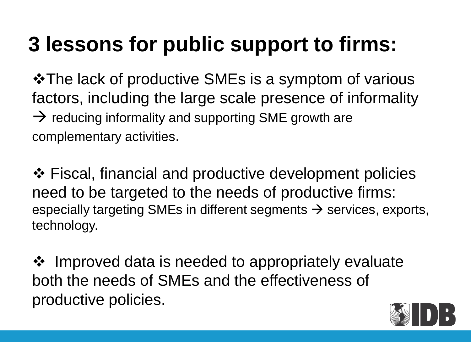## **3 lessons for public support to firms:**

**\*The lack of productive SMEs is a symptom of various** factors, including the large scale presence of informality  $\rightarrow$  reducing informality and supporting SME growth are complementary activities.

❖ Fiscal, financial and productive development policies need to be targeted to the needs of productive firms: especially targeting SMEs in different segments  $\rightarrow$  services, exports, technology.

❖ Improved data is needed to appropriately evaluate both the needs of SMEs and the effectiveness of productive policies.

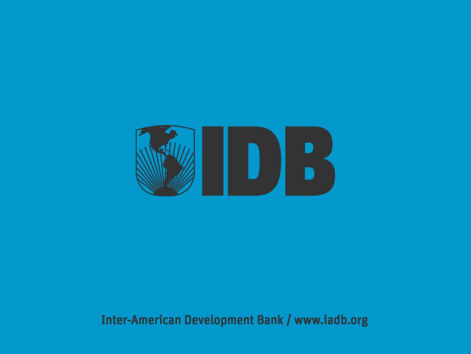

#### Inter-American Development Bank / www.iadb.org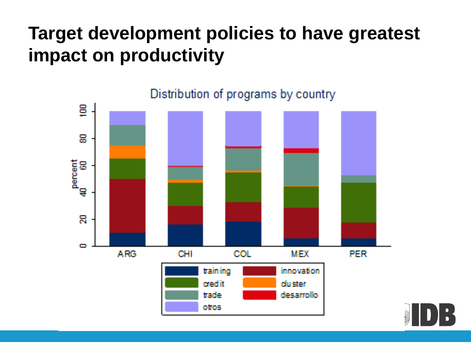### **Target development policies to have greatest impact on productivity**



Distribution of programs by country

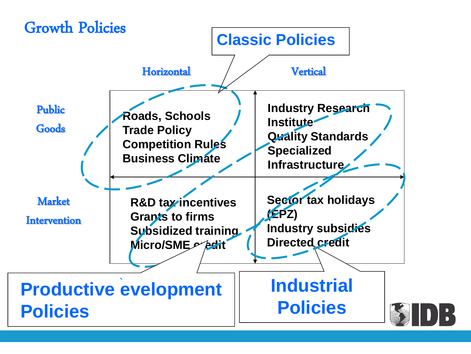#### Growth Policies

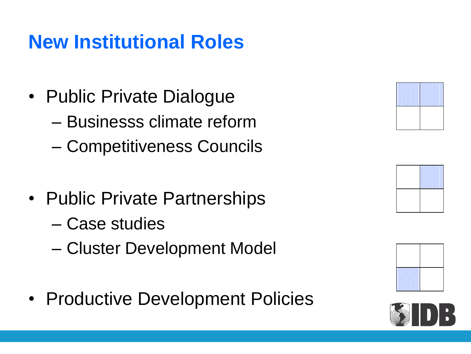### **New Institutional Roles**

- Public Private Dialogue
	- Businesss climate reform
	- Competitiveness Councils
- Public Private Partnerships
	- Case studies
	- Cluster Development Model
- Productive Development Policies







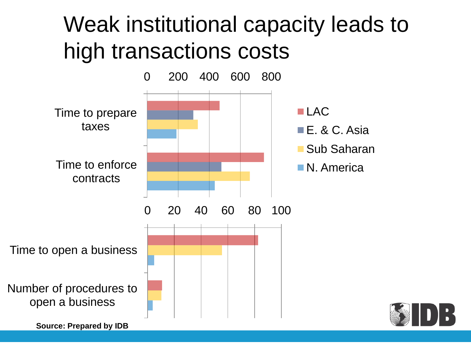## Weak institutional capacity leads to high transactions costs